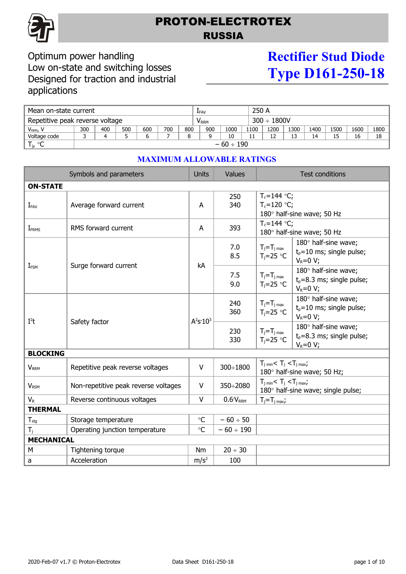

## PROTON-ELECTROTEX RUSSIA

### Optimum power handling Low on-state and switching losses Designed for traction and industrial applications

# **Rectifier Stud Diode Type D161-250-18**

| Mean on-state current           |                |     |     |     |                         | 250 A<br>LFAV |     |                  |      |      |          |      |      |      |      |
|---------------------------------|----------------|-----|-----|-----|-------------------------|---------------|-----|------------------|------|------|----------|------|------|------|------|
| Repetitive peak reverse voltage |                |     |     |     | <b>V</b> <sub>RRM</sub> |               |     | $300 \div 1800V$ |      |      |          |      |      |      |      |
| $V_{RRM}$                       | 300            | 400 | 500 | 600 | 700                     | 800           | 900 | 1000             | 1100 | 1200 | L300     | 1400 | 1500 | 1600 | 1800 |
| Voltage code                    |                |     |     |     |                         |               |     | 10               | 11   | ∸∸   | 13<br>∸- | 14   | 15   | 16   | 18   |
| T <sub>j</sub><br>ം             | $-60 \div 190$ |     |     |     |                         |               |     |                  |      |      |          |      |      |      |      |

| Symbols and parameters   |                                      | <b>Units</b> | <b>Values</b>       |                                                                                       | <b>Test conditions</b>                                                |  |  |  |
|--------------------------|--------------------------------------|--------------|---------------------|---------------------------------------------------------------------------------------|-----------------------------------------------------------------------|--|--|--|
| <b>ON-STATE</b>          |                                      |              |                     |                                                                                       |                                                                       |  |  |  |
| $I_{FAV}$                | Average forward current              |              | 250<br>340          | $T_c = 144$ °C;<br>$T_c = 120 °C$ ;                                                   | 180° half-sine wave; 50 Hz                                            |  |  |  |
| <b>I</b> <sub>FRMS</sub> | RMS forward current                  | A            | 393                 | $T_c = 144$ °C;<br>180° half-sine wave; 50 Hz                                         |                                                                       |  |  |  |
|                          | Surge forward current                |              | 7.0<br>8.5          | $T_j = T_j$ <sub>max</sub><br>$T_j = 25$ °C                                           | 180° half-sine wave;<br>$t_0$ =10 ms; single pulse;<br>$V_R = 0 V;$   |  |  |  |
| $I_{\text{FSM}}$         |                                      |              | 7.5<br>9.0          | $T_j = T_j$ <sub>max</sub><br>$T_i = 25$ °C                                           | 180° half-sine wave;<br>$t_0 = 8.3$ ms; single pulse;<br>$V_R = 0 V;$ |  |  |  |
| $I^2t$                   |                                      | $A^2S:10^3$  | 240<br>360          | $T_j = T_j$ <sub>max</sub><br>$T_i = 25$ °C                                           | 180° half-sine wave;<br>$t_p = 10$ ms; single pulse;<br>$V_R = 0 V;$  |  |  |  |
|                          | Safety factor                        |              | 230<br>330          | $T_j = T_j$ <sub>max</sub><br>$T_i = 25$ °C                                           | 180° half-sine wave;<br>$t_p = 8.3$ ms; single pulse;<br>$V_R = 0 V;$ |  |  |  |
| <b>BLOCKING</b>          |                                      |              |                     |                                                                                       |                                                                       |  |  |  |
| <b>V</b> <sub>RRM</sub>  | Repetitive peak reverse voltages     |              | 300÷1800            | $T_{i,min}$ < $T_i$ < $T_{i,max}$ ;<br>180° half-sine wave; 50 Hz;                    |                                                                       |  |  |  |
| <b>VRSM</b>              | Non-repetitive peak reverse voltages |              | 350÷2080            | $T_{j \text{ min}} < T_j < T_{j \text{ max}}$ ;<br>180° half-sine wave; single pulse; |                                                                       |  |  |  |
| $V_{R}$                  | Reverse continuous voltages          | V            | 0.6V <sub>RRM</sub> | $T_i = T_i$ <sub>max</sub> ;                                                          |                                                                       |  |  |  |
| <b>THERMAL</b>           |                                      |              |                     |                                                                                       |                                                                       |  |  |  |
| $T_{\text{stg}}$         | Storage temperature                  |              | $-60 \div 50$       |                                                                                       |                                                                       |  |  |  |
| $T_i$                    | Operating junction temperature       |              | $-60 \div 190$      |                                                                                       |                                                                       |  |  |  |
| <b>MECHANICAL</b>        |                                      |              |                     |                                                                                       |                                                                       |  |  |  |
| M                        | Tightening torque                    |              | $20 \div 30$        |                                                                                       |                                                                       |  |  |  |
| a                        | Acceleration                         |              | 100                 |                                                                                       |                                                                       |  |  |  |

#### **MAXIMUM ALLOWABLE RATINGS**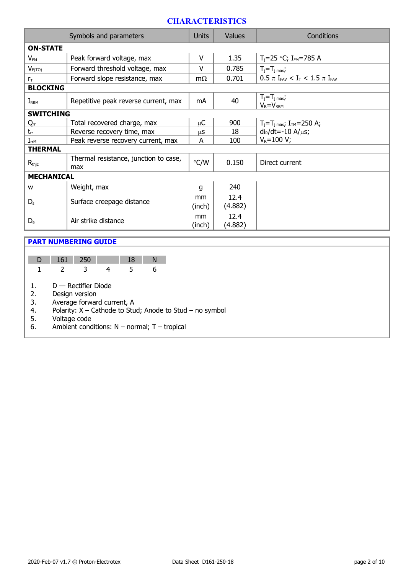#### **CHARACTERISTICS**

|                   | Symbols and parameters                       | <b>Units</b>  | <b>Values</b>   | Conditions                                                               |
|-------------------|----------------------------------------------|---------------|-----------------|--------------------------------------------------------------------------|
| <b>ON-STATE</b>   |                                              |               |                 |                                                                          |
| $V_{FM}$          | Peak forward voltage, max                    |               | 1.35            | $T_i = 25$ °C; I <sub>FM</sub> =785 A                                    |
| $V_{F(TO)}$       | Forward threshold voltage, max               | $\vee$        | 0.785           | $T_j = T_j$ max;                                                         |
| $r_{\rm T}$       | Forward slope resistance, max                | $m\Omega$     | 0.701           | $0.5 \pi$ I <sub>FAV</sub> < I <sub>T</sub> < 1.5 $\pi$ I <sub>FAV</sub> |
| <b>BLOCKING</b>   |                                              |               |                 |                                                                          |
| $I_{RRM}$         | Repetitive peak reverse current, max         | mA            | 40              | $T_j = T_j$ max,<br>$V_R = V_{RRM}$                                      |
| <b>SWITCHING</b>  |                                              |               |                 |                                                                          |
| Qrr               | Total recovered charge, max                  | μC            | 900             | $T_j = T_j$ <sub>max</sub> ; $I_{TM} = 250$ A;                           |
| $t_{rr}$          | Reverse recovery time, max                   | μS            | 18              | $di_R/dt = -10 A/\mu s$ ;                                                |
| $I_{rrM}$         | Peak reverse recovery current, max           | A             | 100             | $V_R = 100 V;$                                                           |
| <b>THERMAL</b>    |                                              |               |                 |                                                                          |
| $R_{\text{thic}}$ | Thermal resistance, junction to case,<br>max | $\degree$ C/W | 0.150           | Direct current                                                           |
| <b>MECHANICAL</b> |                                              |               |                 |                                                                          |
| W                 | Weight, max                                  | q             | 240             |                                                                          |
| $D_{s}$           | Surface creepage distance                    | mm<br>(inch)  | 12.4<br>(4.882) |                                                                          |
| $D_{a}$           | Air strike distance                          |               | 12.4<br>(4.882) |                                                                          |

#### **PART NUMBERING GUIDE**

| D 161 250 |  | - 192 |  |
|-----------|--|-------|--|
|           |  |       |  |

1. D — Rectifier Diode

2. Design version<br>3. Average forwar

3. Average forward current, A<br>4. Polarity:  $X -$ Cathode to Stu

4. Polarity:  $X -$  Cathode to Stud; Anode to Stud – no symbol 5. Voltage code

5. Voltage code

6. Ambient conditions:  $N -$  normal; T – tropical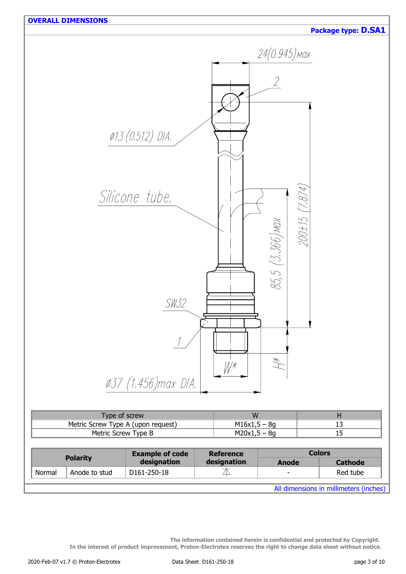

| Type of screw                      | w              |  |
|------------------------------------|----------------|--|
| Metric Screw Type A (upon request) | $M16x1,5 - 8g$ |  |
| Metric Screw Type B                | $M20x1,5 - 8q$ |  |
|                                    |                |  |

| <b>Polarity</b> |               | <b>Example of code</b> | <b>Reference</b> | <b>Colors</b>            |                                        |  |
|-----------------|---------------|------------------------|------------------|--------------------------|----------------------------------------|--|
|                 |               | designation            | designation      | Anode                    | <b>Cathode</b>                         |  |
| Normal          | Anode to stud | D161-250-18            |                  | $\overline{\phantom{0}}$ | Red tube                               |  |
|                 |               |                        |                  |                          |                                        |  |
|                 |               |                        |                  |                          | All dimensions in millimeters (inches) |  |

**The information contained herein is confidential and protected by Copyright. In the interest of product improvement, Proton-Electrotex reserves the right to change data sheet without notice.**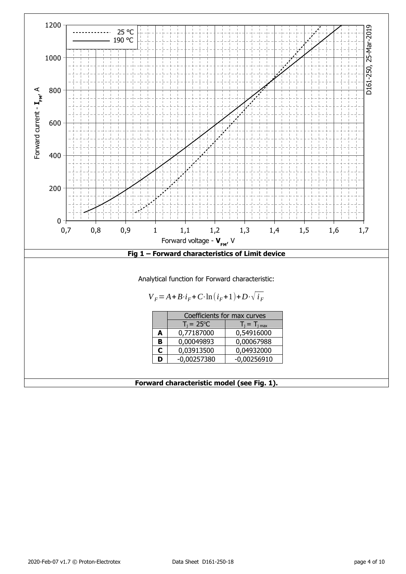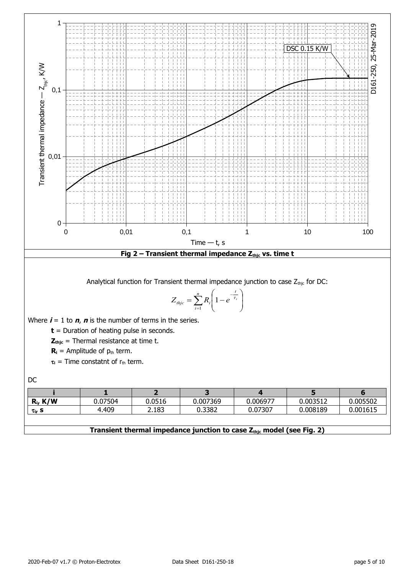

#### **Transient thermal impedance junction to case Zthjc model (see Fig. 2)**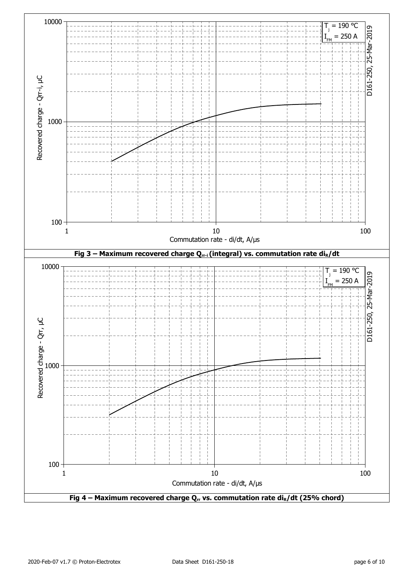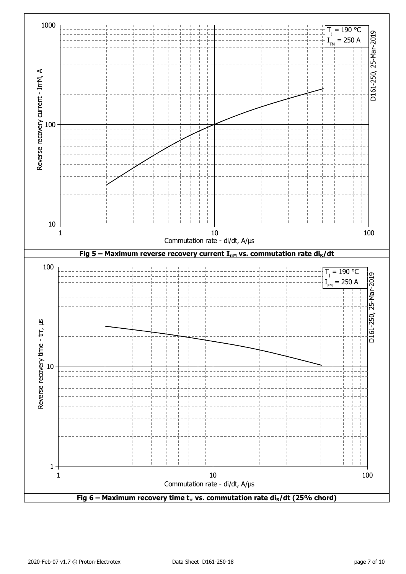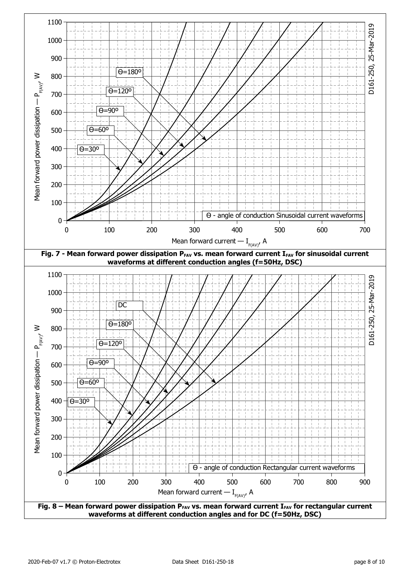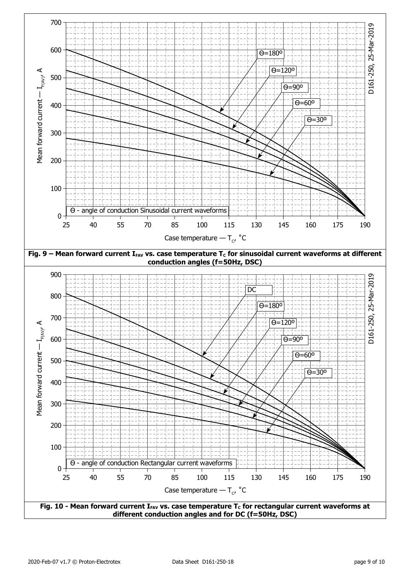